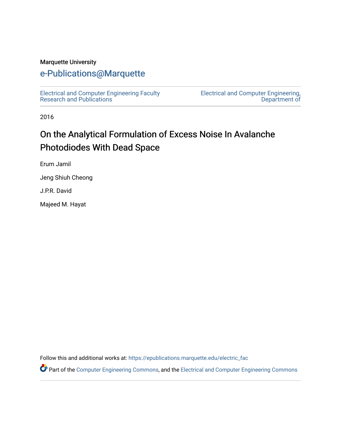#### Marquette University

#### [e-Publications@Marquette](https://epublications.marquette.edu/)

[Electrical and Computer Engineering Faculty](https://epublications.marquette.edu/electric_fac) [Research and Publications](https://epublications.marquette.edu/electric_fac) 

[Electrical and Computer Engineering,](https://epublications.marquette.edu/electric)  [Department of](https://epublications.marquette.edu/electric) 

2016

## On the Analytical Formulation of Excess Noise In Avalanche Photodiodes With Dead Space

Erum Jamil

Jeng Shiuh Cheong

J.P.R. David

Majeed M. Hayat

Follow this and additional works at: [https://epublications.marquette.edu/electric\\_fac](https://epublications.marquette.edu/electric_fac?utm_source=epublications.marquette.edu%2Felectric_fac%2F557&utm_medium=PDF&utm_campaign=PDFCoverPages) 

Part of the [Computer Engineering Commons,](http://network.bepress.com/hgg/discipline/258?utm_source=epublications.marquette.edu%2Felectric_fac%2F557&utm_medium=PDF&utm_campaign=PDFCoverPages) and the [Electrical and Computer Engineering Commons](http://network.bepress.com/hgg/discipline/266?utm_source=epublications.marquette.edu%2Felectric_fac%2F557&utm_medium=PDF&utm_campaign=PDFCoverPages)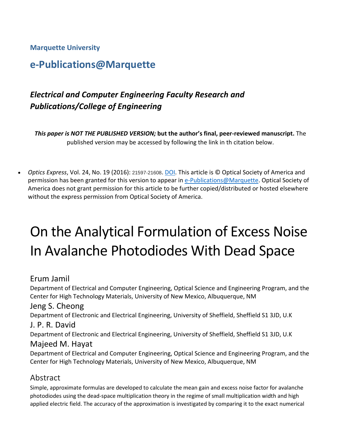**Marquette University**

## **e-Publications@Marquette**

## *Electrical and Computer Engineering Faculty Research and Publications/College of Engineering*

*This paper is NOT THE PUBLISHED VERSION;* **but the author's final, peer-reviewed manuscript.** The published version may be accessed by following the link in th citation below.

• *Optics Express*, Vol. 24, No. 19 (2016): 21597-21608. [DOI.](https://doi.org/10.1364/OE.24.021597) This article is © Optical Society of America and permission has been granted for this version to appear i[n e-Publications@Marquette.](http://epublications.marquette.edu/) Optical Society of America does not grant permission for this article to be further copied/distributed or hosted elsewhere without the express permission from Optical Society of America.

# On the Analytical Formulation of Excess Noise In Avalanche Photodiodes With Dead Space

#### Erum Jamil

Department of Electrical and Computer Engineering, Optical Science and Engineering Program, and the Center for High Technology Materials, University of New Mexico, Albuquerque, NM

#### Jeng S. Cheong

Department of Electronic and Electrical Engineering, University of Sheffield, Sheffield S1 3JD, U.K

#### J. P. R. David

Department of Electronic and Electrical Engineering, University of Sheffield, Sheffield S1 3JD, U.K

#### Majeed M. Hayat

Department of Electrical and Computer Engineering, Optical Science and Engineering Program, and the Center for High Technology Materials, University of New Mexico, Albuquerque, NM

#### Abstract

Simple, approximate formulas are developed to calculate the mean gain and excess noise factor for avalanche photodiodes using the dead-space multiplication theory in the regime of small multiplication width and high applied electric field. The accuracy of the approximation is investigated by comparing it to the exact numerical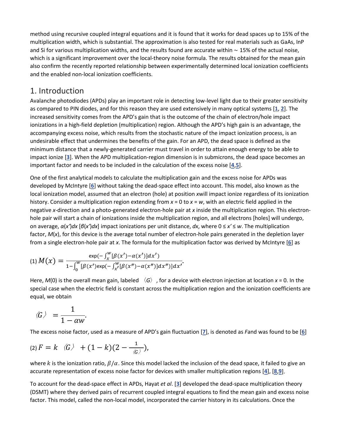method using recursive coupled integral equations and it is found that it works for dead spaces up to 15% of the multiplication width, which is substantial. The approximation is also tested for real materials such as GaAs, InP and Si for various multiplication widths, and the results found are accurate within ∼ 15% of the actual noise, which is a significant improvement over the local-theory noise formula. The results obtained for the mean gain also confirm the recently reported relationship between experimentally determined local ionization coefficients and the enabled non-local ionization coefficients.

#### 1. Introduction

Avalanche photodiodes (APDs) play an important role in detecting low-level light due to their greater sensitivity as compared to PIN diodes, and for this reason they are used extensively in many optical systems [**[1](https://www.osapublishing.org/oe/fulltext.cfm?uri=oe-24-19-21597&id=349927#ref1)**, **[2](https://www.osapublishing.org/oe/fulltext.cfm?uri=oe-24-19-21597&id=349927#ref2)**]. The increased sensitivity comes from the APD's gain that is the outcome of the chain of electron/hole impact ionizations in a high-field depletion (multiplication) region. Although the APD's high gain is an advantage, the accompanying excess noise, which results from the stochastic nature of the impact ionization process, is an undesirable effect that undermines the benefits of the gain. For an APD, the dead space is defined as the minimum distance that a newly-generated carrier must travel in order to attain enough energy to be able to impact ionize [**[3](https://www.osapublishing.org/oe/fulltext.cfm?uri=oe-24-19-21597&id=349927#ref3)**]. When the APD multiplication-region dimension is in submicrons, the dead space becomes an important factor and needs to be included in the calculation of the excess noise [**[4](https://www.osapublishing.org/oe/fulltext.cfm?uri=oe-24-19-21597&id=349927#ref4)**,**[5](https://www.osapublishing.org/oe/fulltext.cfm?uri=oe-24-19-21597&id=349927#ref5)**].

One of the first analytical models to calculate the multiplication gain and the excess noise for APDs was developed by McIntyre [**[6](https://www.osapublishing.org/oe/fulltext.cfm?uri=oe-24-19-21597&id=349927#ref6)**] without taking the dead-space effect into account. This model, also known as the local ionization model, assumed that an electron (hole) at position *x*will impact ionize regardless of its ionization history. Consider a multiplication region extending from *x* = 0 to *x* = *w*, with an electric field applied in the negative *x*-direction and a photo-generated electron-hole pair at *x* inside the multiplication region. This electronhole pair will start a chain of ionizations inside the multiplication region, and all electrons [holes] will undergo, on average, *α*(*x′*)*dx* [*β*(*x′*)*dx*] impact ionizations per unit distance, *dx*, where 0 ≤ *x′* ≤ *w*. The multiplication factor, *M*(*x*), for this device is the average total number of electron-hole pairs generated in the depletion layer from a single electron-hole pair at *x*. The formula for the multiplication factor was derived by McIntyre [**[6](https://www.osapublishing.org/oe/fulltext.cfm?uri=oe-24-19-21597&id=349927#ref6)**] as

$$
(1) M(x) = \frac{\exp(-\int_x^W [\beta(x') - \alpha(x')] dx')}{1 - \int_0^W [\beta(x') \exp(-\int_{x'}^W [\beta(x'') - \alpha(x'')] dx'')] dx'}.
$$

Here,  $M(0)$  is the overall mean gain, labeled  $\langle G \rangle$ , for a device with electron injection at location  $x = 0$ . In the special case when the electric field is constant across the multiplication region and the ionization coefficients are equal, we obtain

$$
\langle G \rangle = \frac{1}{1 - \alpha w}.
$$

The excess noise factor, used as a measure of APD's gain fluctuation [**[7](https://www.osapublishing.org/oe/fulltext.cfm?uri=oe-24-19-21597&id=349927#ref7)**], is denoted as *F*and was found to be [**[6](https://www.osapublishing.org/oe/fulltext.cfm?uri=oe-24-19-21597&id=349927#ref6)**]

$$
(2) F = k \quad \langle G \rangle + (1-k)(2-\frac{1}{\langle G \rangle}),
$$

where k is the ionization ratio,  $\beta/\alpha$ . Since this model lacked the inclusion of the dead space, it failed to give an accurate representation of excess noise factor for devices with smaller multiplication regions [**[4](https://www.osapublishing.org/oe/fulltext.cfm?uri=oe-24-19-21597&id=349927#ref4)**], [**[8](https://www.osapublishing.org/oe/fulltext.cfm?uri=oe-24-19-21597&id=349927#ref8)**,**[9](https://www.osapublishing.org/oe/fulltext.cfm?uri=oe-24-19-21597&id=349927#ref9)**].

To account for the dead-space effect in APDs, Hayat *et al*. [**[3](https://www.osapublishing.org/oe/fulltext.cfm?uri=oe-24-19-21597&id=349927#ref3)**] developed the dead-space multiplication theory (DSMT) where they derived pairs of recurrent coupled integral equations to find the mean gain and excess noise factor. This model, called the non-local model, incorporated the carrier history in its calculations. Once the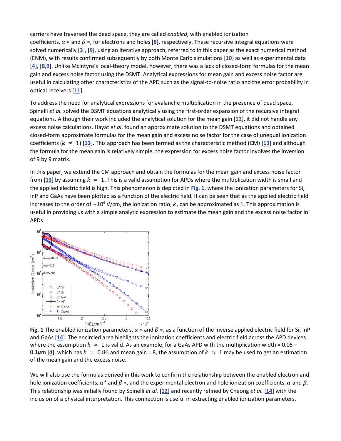carriers have traversed the dead space, they are called *enabled*, with enabled ionization coefficients,  $\alpha$   $*$  and  $\beta$   $*$ , for electrons and holes [[8](https://www.osapublishing.org/oe/fulltext.cfm?uri=oe-24-19-21597&id=349927#ref8)], respectively. These recursive integral equations were solved numerically [**[3](https://www.osapublishing.org/oe/fulltext.cfm?uri=oe-24-19-21597&id=349927#ref3)**], [**[9](https://www.osapublishing.org/oe/fulltext.cfm?uri=oe-24-19-21597&id=349927#ref9)**], using an iterative approach, referred to in this paper as the exact numerical method (ENM), with results confirmed subsequently by both Monte Carlo simulations [**[10](https://www.osapublishing.org/oe/fulltext.cfm?uri=oe-24-19-21597&id=349927#ref10)**] as well as experimental data [**[4](https://www.osapublishing.org/oe/fulltext.cfm?uri=oe-24-19-21597&id=349927#ref4)**], [**[8](https://www.osapublishing.org/oe/fulltext.cfm?uri=oe-24-19-21597&id=349927#ref8)**,**[9](https://www.osapublishing.org/oe/fulltext.cfm?uri=oe-24-19-21597&id=349927#ref9)**]. Unlike McIntyre's local-theory model, however, there was a lack of closed-form formulas for the mean gain and excess noise factor using the DSMT. Analytical expressions for mean gain and excess noise factor are useful in calculating other characteristics of the APD such as the signal-to-noise ratio and the error probability in optical receivers [**[11](https://www.osapublishing.org/oe/fulltext.cfm?uri=oe-24-19-21597&id=349927#ref11)**].

To address the need for analytical expressions for avalanche multiplication in the presence of dead space, Spinelli *et al.* solved the DSMT equations analytically using the first-order expansion of the recursive integral equations. Although their work included the analytical solution for the mean gain [**[12](https://www.osapublishing.org/oe/fulltext.cfm?uri=oe-24-19-21597&id=349927#ref12)**], it did not handle any excess noise calculations. Hayat *et al*. found an approximate solution to the DSMT equations and obtained closed-form approximate formulas for the mean gain and excess noise factor for the case of unequal ionization coefficients ( $k \neq 1$ ) [[13](https://www.osapublishing.org/oe/fulltext.cfm?uri=oe-24-19-21597&id=349927#ref13)]. This approach has been termed as the characteristic method (CM) [13] and although the formula for the mean gain is relatively simple, the expression for excess noise factor involves the inversion of 9 by 9 matrix.

In this paper, we extend the CM approach and obtain the formulas for the mean gain and excess noise factor from [[13](https://www.osapublishing.org/oe/fulltext.cfm?uri=oe-24-19-21597&id=349927#ref13)] by assuming  $k = 1$ . This is a valid assumption for APDs where the multiplication width is small and the applied electric field is high. This phenomenon is depicted in **[Fig. 1](https://www.osapublishing.org/oe/fulltext.cfm?uri=oe-24-19-21597&id=349927#g001)**, where the ionization parameters for Si, InP and GaAs have been plotted as a function of the electric field. It can be seen that as the applied electric field increases to the order of ~10<sup>6</sup> V/cm, the ionization ratio,  $k$ , can be approximated as 1. This approximation is useful in providing us with a simple analytic expression to estimate the mean gain and the excess noise factor in APDs.



**Fig. 1** The enabled ionization parameters,  $\alpha *$  and  $\beta *$ , as a function of the inverse applied electric field for Si, InP and GaAs [**[14](https://www.osapublishing.org/oe/fulltext.cfm?uri=oe-24-19-21597&id=349927#ref14)**]. The encircled area highlights the ionization coefficients and electric field across the APD devices where the assumption  $k \approx 1$  is valid. As an example, for a GaAs APD with the multiplication width = 0.05 – 0.1 $\mu$ m [[4](https://www.osapublishing.org/oe/fulltext.cfm?uri=oe-24-19-21597&id=349927#ref4)], which has  $k = 0.86$  and mean gain = 8, the assumption of  $k \approx 1$  may be used to get an estimation of the mean gain and the excess noise.

We will also use the formulas derived in this work to confirm the relationship between the enabled electron and hole ionization coefficients,  $\alpha^*$  and  $\beta$  \*, and the experimental electron and hole ionization coefficients,  $\alpha$  and  $\beta$ . This relationship was initially found by Spinelli *et al.* [**[12](https://www.osapublishing.org/oe/fulltext.cfm?uri=oe-24-19-21597&id=349927#ref12)**] and recently refined by Cheong *et al.* [**[14](https://www.osapublishing.org/oe/fulltext.cfm?uri=oe-24-19-21597&id=349927#ref14)**] with the inclusion of a physical interpretation. This connection is useful in extracting enabled ionization parameters,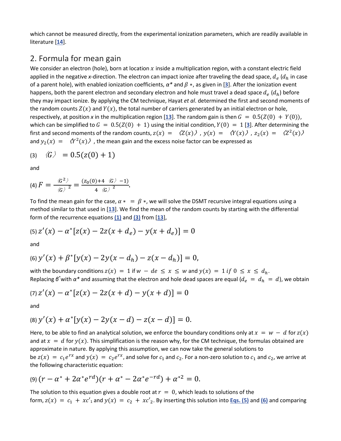which cannot be measured directly, from the experimental ionization parameters, which are readily available in literature [**[14](https://www.osapublishing.org/oe/fulltext.cfm?uri=oe-24-19-21597&id=349927#ref14)**].

#### 2. Formula for mean gain

We consider an electron (hole), born at location  $x$  inside a multiplication region, with a constant electric field applied in the negative *x*-direction. The electron can impact ionize after traveling the dead space,  $d_e$  ( $d_h$  in case of a parent hole), with enabled ionization coefficients,  $\alpha^*$  and  $\beta^*$ , as given in [[3](https://www.osapublishing.org/oe/fulltext.cfm?uri=oe-24-19-21597&id=349927#ref3)]. After the ionization event happens, both the parent electron and secondary electron and hole must travel a dead space  $d_e(d_h)$  before they may impact ionize. By applying the CM technique, Hayat *et al*. determined the first and second moments of the random counts  $Z(x)$  and  $Y(x)$ , the total number of carriers generated by an initial electron or hole, respectively, at position x in the multiplication region [[13](https://www.osapublishing.org/oe/fulltext.cfm?uri=oe-24-19-21597&id=349927#ref13)]. The random gain is then  $G = 0.5(Z(0) + Y(0))$ , which can be simplified to  $G = 0.5(Z(0) + 1)$  using the initial condition,  $Y(0) = 1$  [[3](https://www.osapublishing.org/oe/fulltext.cfm?uri=oe-24-19-21597&id=349927#ref3)]. After determining the first and second moments of the random counts,  $z(x) = \langle Z(x) \rangle$ ,  $y(x) = \langle Y(x) \rangle$ ,  $z_2(x) = \langle Z^2(x) \rangle$ and  $y_2(x) = \langle Y^2(x) \rangle$ , the mean gain and the excess noise factor can be expressed as

$$
(3) \quad \langle G \rangle = 0.5(z(0) + 1)
$$

and

$$
(4) F = \frac{\langle G^2 \rangle}{\langle G \rangle^2} = \frac{(z_0(0) + 4 \langle G \rangle - 1)}{4 \langle G \rangle^2}.
$$

To find the mean gain for the case,  $\alpha * = \beta *$ , we will solve the DSMT recursive integral equations using a method similar to that used in [**[13](https://www.osapublishing.org/oe/fulltext.cfm?uri=oe-24-19-21597&id=349927#ref13)**]. We find the mean of the random counts by starting with the differential form of the recurrence equations **[\(1\)](https://www.osapublishing.org/oe/fulltext.cfm?uri=oe-24-19-21597&id=349927#e01)** and **[\(3\)](https://www.osapublishing.org/oe/fulltext.cfm?uri=oe-24-19-21597&id=349927#e04)** from [**[13](https://www.osapublishing.org/oe/fulltext.cfm?uri=oe-24-19-21597&id=349927#ref13)**],

$$
(5) Z'(x) - \alpha^* [z(x) - 2z(x + d_e) - y(x + d_e)] = 0
$$

and

$$
(6) y'(x) + \beta^* [y(x) - 2y(x - d_h) - z(x - d_h)] = 0,
$$

with the boundary conditions  $z(x) = 1$  if  $w - de \le x \le w$  and  $y(x) = 1$  if  $0 \le x \le d_h$ . Replacing  $\beta^*$ with  $\alpha^*$  and assuming that the electron and hole dead spaces are equal ( $d_e = d_h = d$ ), we obtain

$$
(7) z'(x) - \alpha^* [z(x) - 2z(x + d) - y(x + d)] = 0
$$

and

$$
(8) y'(x) + \alpha^* [y(x) - 2y(x - d) - z(x - d)] = 0.
$$

Here, to be able to find an analytical solution, we enforce the boundary conditions only at  $x = w - d$  for  $z(x)$ and at  $x = d$  for  $y(x)$ . This simplification is the reason why, for the CM technique, the formulas obtained are approximate in nature. By applying this assumption, we can now take the general solutions to be  $z(x) = c_1 e^{rx}$  and  $y(x) = c_2 e^{rx}$ , and solve for  $c_1$  and  $c_2$ . For a non-zero solution to  $c_1$  and  $c_2$ , we arrive at the following characteristic equation:

$$
(9) (r - \alpha^* + 2\alpha^* e^{rd})(r + \alpha^* - 2\alpha^* e^{-rd}) + \alpha^{*2} = 0.
$$

The solution to this equation gives a double root at  $r = 0$ , which leads to solutions of the form,  $z(x) = c_1 + xc'_1$  and  $y(x) = c_2 + xc'_2$ . By inserting this solution into **[Eqs. \(5\)](https://www.osapublishing.org/oe/fulltext.cfm?uri=oe-24-19-21597&id=349927#e06)** and **[\(6\)](https://www.osapublishing.org/oe/fulltext.cfm?uri=oe-24-19-21597&id=349927#e07)** and comparing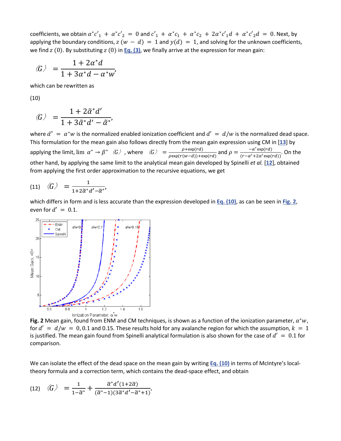coefficients, we obtain  $\alpha^*c'_1 + \alpha^*c'_2 = 0$  and  $c'_1 + \alpha^*c_1 + \alpha^*c_2 + 2\alpha^*c'_1d + \alpha^*c'_2d = 0$ . Next, by applying the boundary conditions,  $z (w - d) = 1$  and  $y(d) = 1$ , and solving for the unknown coefficients, we find  $z$  (0). By substituting  $z$  (0) in **[Eq. \(3\)](https://www.osapublishing.org/oe/fulltext.cfm?uri=oe-24-19-21597&id=349927#e04)**, we finally arrive at the expression for mean gain:

$$
\langle G \rangle = \frac{1 + 2\alpha^* d}{1 + 3\alpha^* d - \alpha^* w'}
$$

which can be rewritten as

(10)

$$
\langle G \rangle = \frac{1 + 2\tilde{\alpha}^* d'}{1 + 3\tilde{\alpha}^* d' - \tilde{\alpha}^*}
$$

where  $\tilde{a}^* = a^*w$  is the normalized enabled ionization coefficient and  $d' = d/w$  is the normalized dead space. This formulation for the mean gain also follows directly from the mean gain expression using CM in [**[13](https://www.osapublishing.org/oe/fulltext.cfm?uri=oe-24-19-21597&id=349927#ref13)**] by applying the limit,  $\lim \alpha^* \to \beta^*$   $\langle G \rangle$ , where  $\langle G \rangle = \frac{\rho + \exp(rd)}{\rho \exp(r(w-d)) + \exp(rd)}$  and  $\rho = \frac{-\alpha^* \exp(rd)}{(r - \alpha^* + 2\alpha^* \exp(rd))}$ . On the other hand, by applying the same limit to the analytical mean gain developed by Spinelli *et al.* [**[12](https://www.osapublishing.org/oe/fulltext.cfm?uri=oe-24-19-21597&id=349927#ref12)**], obtained from applying the first order approximation to the recursive equations, we get

$$
(11) \quad \langle G \rangle = \frac{1}{1 + 2\widetilde{\alpha}^* d' - \widetilde{\alpha}^*}
$$

which differs in form and is less accurate than the expression developed in **[Eq. \(10\)](https://www.osapublishing.org/oe/fulltext.cfm?uri=oe-24-19-21597&id=349927#e12)**, as can be seen in **[Fig. 2](https://www.osapublishing.org/oe/fulltext.cfm?uri=oe-24-19-21597&id=349927#g002)**, even for  $d' = 0.1$ .



**Fig. 2** Mean gain, found from ENM and CM techniques, is shown as a function of the ionization parameter,  $\alpha^* w$ , for  $d' = d/w = 0, 0.1$  and 0.15. These results hold for any avalanche region for which the assumption,  $k = 1$ is justified. The mean gain found from Spinelli analytical formulation is also shown for the case of  $d' = 0.1$  for comparison.

We can isolate the effect of the dead space on the mean gain by writing **[Eq. \(10\)](https://www.osapublishing.org/oe/fulltext.cfm?uri=oe-24-19-21597&id=349927#e12)** in terms of McIntyre's localtheory formula and a correction term, which contains the dead-space effect, and obtain

$$
(12) \quad \langle G \rangle = \frac{1}{1-\widetilde{\alpha}^*} + \frac{\widetilde{\alpha}^* d'(1+2\widetilde{\alpha})}{(\widetilde{\alpha}^* - 1)(3\widetilde{\alpha}^* d' - \widetilde{\alpha}^* + 1)}.
$$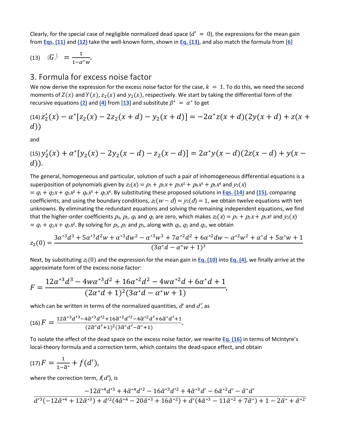Clearly, for the special case of negligible normalized dead space  $(d' \approx 0)$ , the expressions for the mean gain from **[Eqs. \(11\)](https://www.osapublishing.org/oe/fulltext.cfm?uri=oe-24-19-21597&id=349927#e13)** and **[\(12\)](https://www.osapublishing.org/oe/fulltext.cfm?uri=oe-24-19-21597&id=349927#e14)** take the well-known form, shown in **[Eq. \(13\)](https://www.osapublishing.org/oe/fulltext.cfm?uri=oe-24-19-21597&id=349927#e15)**, and also match the formula from [**[6](https://www.osapublishing.org/oe/fulltext.cfm?uri=oe-24-19-21597&id=349927#ref6)**]

$$
(13) \quad \langle G \rangle = \frac{1}{1 - \alpha^* w}.
$$

#### 3. Formula for excess noise factor

We now derive the expression for the excess noise factor for the case,  $k = 1$ . To do this, we need the second moments of  $Z(x)$  and  $Y(x)$ ,  $z_2(x)$  and  $y_2(x)$ , respectively. We start by taking the differential form of the recursive equations  $(2)$  and  $(4)$  from  $[13]$  $[13]$  $[13]$  and substitute  $\beta^* = \alpha^*$  to get

(14) 
$$
z'_2(x) - \alpha^*[z_2(x) - 2z_2(x + d) - y_2(x + d)] = -2\alpha^*z(x + d)(2y(x + d) + z(x + d))
$$

and

(15) 
$$
y'_2(x) + \alpha^* [y_2(x) - 2y_2(x - d) - z_2(x - d)] = 2\alpha^* y(x - d)(2z(x - d) + y(x - d))
$$
.

The general, homogeneous and particular, solution of such a pair of inhomogeneous differential equations is a superposition of polynomials given by  $z_2(x) = p_1 + p_2x + p_3x^2 + p_4x^3 + p_5x^4$  and  $y_2(x)$ 

 $= q_1 + q_2x + q_3x^2 + q_4x^3 + q_5x^4$ . By substituting these proposed solutions in **[Eqs. \(14\)](https://www.osapublishing.org/oe/fulltext.cfm?uri=oe-24-19-21597&id=349927#e16)** and [\(15\)](https://www.osapublishing.org/oe/fulltext.cfm?uri=oe-24-19-21597&id=349927#e17), comparing coefficients, and using the boundary conditions,  $z_2(w - d) = y_2(d) = 1$ , we obtain twelve equations with ten unknowns. By eliminating the redundant equations and solving the remaining independent equations, we find that the higher-order coefficients  $p_4$ ,  $p_5$ ,  $q_4$  and  $q_5$  are zero, which makes  $z_2(x) = p_1 + p_2x + p_3x^2$  and  $y_2(x)$  $= q_1 + q_2x + q_3x^2$ . By solving for  $p_1$ ,  $p_2$  and  $p_3$ , along with  $q_1$ ,  $q_2$  and  $q_3$ , we obtain

$$
z_2(0) = \frac{3\alpha^{*3}d^3 + 5\alpha^{*3}d^2w + \alpha^{*3}dw^2 - \alpha^{*3}w^3 + 7\alpha^{*2}d^2 + 6\alpha^{*2}dw - \alpha^{*2}w^2 + \alpha^{*}d + 5\alpha^{*}w + 1}{(3\alpha^{*}d - \alpha^{*}w + 1)^3}
$$

Next, by substituting  $z_2(0)$  and the expression for the mean gain in **[Eq. \(10\)](https://www.osapublishing.org/oe/fulltext.cfm?uri=oe-24-19-21597&id=349927#e12)** into **[Eq. \(4\)](https://www.osapublishing.org/oe/fulltext.cfm?uri=oe-24-19-21597&id=349927#e05)**, we finally arrive at the approximate form of the excess noise factor:

$$
F = \frac{12\alpha^{*3}d^3 - 4w\alpha^{*3}d^2 + 16\alpha^{*2}d^2 - 4w\alpha^{*2}d + 6\alpha^{*}d + 1}{(2\alpha^{*}d + 1)^2(3\alpha^{*}d - \alpha^{*}w + 1)},
$$

which can be written in terms of the normalized quantities,  $\tilde{a}$  and  $d'$ , as

$$
(16) F = \frac{12\widetilde{\alpha}^{*3}d'^{3} - 4\widetilde{\alpha}^{*3}d'^{2} + 16\widetilde{\alpha}^{*2}d'^{2} - 4\widetilde{\alpha}^{*2}d' + 6\widetilde{\alpha}^{*}d' + 1}{(2\widetilde{\alpha}^{*}d' + 1)^{2}(3\widetilde{\alpha}^{*}d' - \widetilde{\alpha}^{*} + 1)}.
$$

To isolate the effect of the dead space on the excess noise factor, we rewrite **[Eq. \(16\)](https://www.osapublishing.org/oe/fulltext.cfm?uri=oe-24-19-21597&id=349927#e20)** in terms of McIntyre's local-theory formula and a correction term, which contains the dead-space effect, and obtain

$$
(17) F = \frac{1}{1-\widetilde{\alpha}^*} + f(d'),
$$

where the correction term,  $f(d')$ , is

$$
\frac{-12\tilde{\alpha}^{*4}d'^{3}+4\tilde{\alpha}^{*4}d'^{2}-16\tilde{\alpha}^{*3}d'^{2}+4\tilde{\alpha}^{*3}d'-6\tilde{\alpha}^{*2}d'-\tilde{\alpha}^{*}d'}{d'^{3}(-12\tilde{\alpha}^{*4}+12\tilde{\alpha}^{*3})+d'^{2}(4\tilde{\alpha}^{*4}-20\tilde{\alpha}^{*3}+16\tilde{\alpha}^{*2})+d'(4\tilde{\alpha}^{*3}-11\tilde{\alpha}^{*2}+7\tilde{\alpha}^{*})+1-2\tilde{\alpha}^{*}+\tilde{\alpha}^{*2}}{d'^{3}(-12\tilde{\alpha}^{*4}+12\tilde{\alpha}^{*3})+d'^{2}(4\tilde{\alpha}^{*4}-20\tilde{\alpha}^{*3}+16\tilde{\alpha}^{*2})+d'(4\tilde{\alpha}^{*3}-11\tilde{\alpha}^{*2}+7\tilde{\alpha}^{*})+1-2\tilde{\alpha}^{*}+\tilde{\alpha}^{*2}}.
$$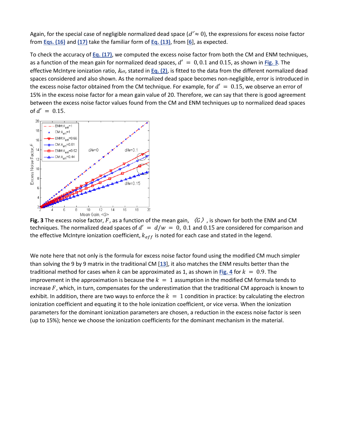Again, for the special case of negligible normalized dead space ( $d' \approx 0$ ), the expressions for excess noise factor from **[Eqs. \(16\)](https://www.osapublishing.org/oe/fulltext.cfm?uri=oe-24-19-21597&id=349927#e20)** and **[\(17\)](https://www.osapublishing.org/oe/fulltext.cfm?uri=oe-24-19-21597&id=349927#e21)** take the familiar form of **[Eq. \(13\)](https://www.osapublishing.org/oe/fulltext.cfm?uri=oe-24-19-21597&id=349927#e15)**, from [**[6](https://www.osapublishing.org/oe/fulltext.cfm?uri=oe-24-19-21597&id=349927#ref6)**], as expected.

To check the accuracy of **[Eq. \(17\)](https://www.osapublishing.org/oe/fulltext.cfm?uri=oe-24-19-21597&id=349927#e21)**, we computed the excess noise factor from both the CM and ENM techniques, as a function of the mean gain for normalized dead spaces,  $d' = 0, 0.1$  and 0.15, as shown in [Fig. 3](https://www.osapublishing.org/oe/fulltext.cfm?uri=oe-24-19-21597&id=349927#g003). The effective McIntyre ionization ratio,  $k_{\text{eff}}$ , stated in **[Eq. \(2\)](https://www.osapublishing.org/oe/fulltext.cfm?uri=oe-24-19-21597&id=349927#e03)**, is fitted to the data from the different normalized dead spaces considered and also shown. As the normalized dead space becomes non-negligible, error is introduced in the excess noise factor obtained from the CM technique. For example, for  $d' = 0.15$ , we observe an error of 15% in the excess noise factor for a mean gain value of 20. Therefore, we can say that there is good agreement between the excess noise factor values found from the CM and ENM techniques up to normalized dead spaces of  $d' = 0.15$ .



**Fig. 3** The excess noise factor, F, as a function of the mean gain,  $\langle G \rangle$ , is shown for both the ENM and CM techniques. The normalized dead spaces of  $d' = d/w = 0$ , 0.1 and 0.15 are considered for comparison and the effective McIntyre ionization coefficient,  $k_{eff}$  is noted for each case and stated in the legend.

We note here that not only is the formula for excess noise factor found using the modified CM much simpler than solving the 9 by 9 matrix in the traditional CM [**[13](https://www.osapublishing.org/oe/fulltext.cfm?uri=oe-24-19-21597&id=349927#ref13)**], it also matches the ENM results better than the traditional method for cases when k can be approximated as 1, as shown in [Fig. 4](https://www.osapublishing.org/oe/fulltext.cfm?uri=oe-24-19-21597&id=349927#g004) for  $k = 0.9$ . The improvement in the approximation is because the  $k = 1$  assumption in the modified CM formula tends to increase  $F$ , which, in turn, compensates for the underestimation that the traditional CM approach is known to exhibit. In addition, there are two ways to enforce the  $k = 1$  condition in practice: by calculating the electron ionization coefficient and equating it to the hole ionization coefficient, or vice versa. When the ionization parameters for the dominant ionization parameters are chosen, a reduction in the excess noise factor is seen (up to 15%); hence we choose the ionization coefficients for the dominant mechanism in the material.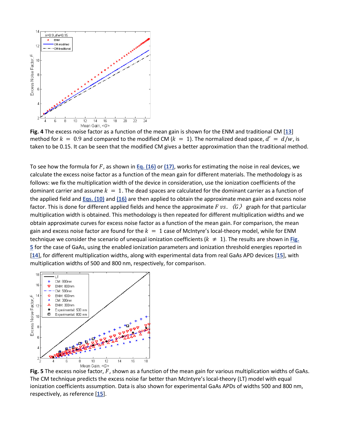

**Fig. 4** The excess noise factor as a function of the mean gain is shown for the ENM and traditional CM [**[13](https://www.osapublishing.org/oe/fulltext.cfm?uri=oe-24-19-21597&id=349927#ref13)**] method for  $k = 0.9$  and compared to the modified CM ( $k = 1$ ). The normalized dead space,  $d' = d/w$ , is taken to be 0.15. It can be seen that the modified CM gives a better approximation than the traditional method.

To see how the formula for F, as shown in **[Eq. \(16\)](https://www.osapublishing.org/oe/fulltext.cfm?uri=oe-24-19-21597&id=349927#e20)** or [\(17\)](https://www.osapublishing.org/oe/fulltext.cfm?uri=oe-24-19-21597&id=349927#e21), works for estimating the noise in real devices, we calculate the excess noise factor as a function of the mean gain for different materials. The methodology is as follows: we fix the multiplication width of the device in consideration, use the ionization coefficients of the dominant carrier and assume  $k = 1$ . The dead spaces are calculated for the dominant carrier as a function of the applied field and **[Eqs. \(10\)](https://www.osapublishing.org/oe/fulltext.cfm?uri=oe-24-19-21597&id=349927#e12)** and **[\(16\)](https://www.osapublishing.org/oe/fulltext.cfm?uri=oe-24-19-21597&id=349927#e20)** are then applied to obtain the approximate mean gain and excess noise factor. This is done for different applied fields and hence the approximate F vs.  $\langle G \rangle$  graph for that particular multiplication width is obtained. This methodology is then repeated for different multiplication widths and we obtain approximate curves for excess noise factor as a function of the mean gain. For comparison, the mean gain and excess noise factor are found for the  $k = 1$  case of McIntyre's local-theory model, while for ENM technique we consider the scenario of unequal ionization coefficients ( $k \neq 1$ ). The results are shown in **Fig. [5](https://www.osapublishing.org/oe/fulltext.cfm?uri=oe-24-19-21597&id=349927#g005)** for the case of GaAs, using the enabled ionization parameters and ionization threshold energies reported in [**[14](https://www.osapublishing.org/oe/fulltext.cfm?uri=oe-24-19-21597&id=349927#ref14)**], for different multiplication widths, along with experimental data from real GaAs APD devices [**[15](https://www.osapublishing.org/oe/fulltext.cfm?uri=oe-24-19-21597&id=349927#ref15)**], with multiplication widths of 500 and 800 nm, respectively, for comparison.



**Fig. 5** The excess noise factor,  $F$ , shown as a function of the mean gain for various multiplication widths of GaAs. The CM technique predicts the excess noise far better than McIntyre's local-theory (LT) model with equal ionization coefficients assumption. Data is also shown for experimental GaAs APDs of widths 500 and 800 nm, respectively, as reference [**[15](https://www.osapublishing.org/oe/fulltext.cfm?uri=oe-24-19-21597&id=349927#ref15)**].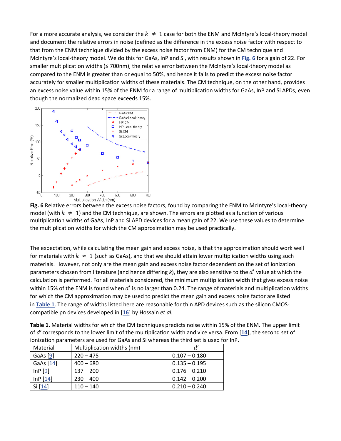For a more accurate analysis, we consider the  $k \neq 1$  case for both the ENM and McIntyre's local-theory model and document the relative errors in noise (defined as the difference in the excess noise factor with respect to that from the ENM technique divided by the excess noise factor from ENM) for the CM technique and McIntyre's local-theory model. We do this for GaAs, InP and Si, with results shown in **[Fig. 6](https://www.osapublishing.org/oe/fulltext.cfm?uri=oe-24-19-21597&id=349927#g006)** for a gain of 22. For smaller multiplication widths (≤ 700nm), the relative error between the McIntyre's local-theory model as compared to the ENM is greater than or equal to 50%, and hence it fails to predict the excess noise factor accurately for smaller multiplication widths of these materials. The CM technique, on the other hand, provides an excess noise value within 15% of the ENM for a range of multiplication widths for GaAs, InP and Si APDs, even though the normalized dead space exceeds 15%.



**Fig. 6** Relative errors between the excess noise factors, found by comparing the ENM to McIntyre's local-theory model (with  $k \neq 1$ ) and the CM technique, are shown. The errors are plotted as a function of various multiplication widths of GaAs, InP and Si APD devices for a mean gain of 22. We use these values to determine the multiplication widths for which the CM approximation may be used practically.

The expectation, while calculating the mean gain and excess noise, is that the approximation should work well for materials with  $k \approx 1$  (such as GaAs), and that we should attain lower multiplication widths using such materials. However, not only are the mean gain and excess noise factor dependent on the set of ionization parameters chosen from literature (and hence differing k), they are also sensitive to the d' value at which the calculation is performed. For all materials considered, the minimum multiplication width that gives excess noise within 15% of the ENM is found when  $d'$  is no larger than 0.24. The range of materials and multiplication widths for which the CM approximation may be used to predict the mean gain and excess noise factor are listed in **[Table 1](https://www.osapublishing.org/oe/fulltext.cfm?uri=oe-24-19-21597&id=349927#t001)**. The range of widths listed here are reasonable for thin APD devices such as the silicon CMOScompatible pn devices developed in [**[16](https://www.osapublishing.org/oe/fulltext.cfm?uri=oe-24-19-21597&id=349927#ref16)**] by Hossain *et al.*

| Table 1. Material widths for which the CM techniques predicts noise within 15% of the ENM. The upper limit    |
|---------------------------------------------------------------------------------------------------------------|
| of d' corresponds to the lower limit of the multiplication width and vice versa. From [14], the second set of |
| ionization parameters are used for GaAs and Si whereas the third set is used for InP.                         |

| Material  | Multiplication widths (nm) | d'              |
|-----------|----------------------------|-----------------|
| GaAs [9]  | $220 - 475$                | $0.107 - 0.180$ |
| GaAs [14] | $400 - 680$                | $0.135 - 0.195$ |
| InP[9]    | $137 - 200$                | $0.176 - 0.210$ |
| InP[14]   | $230 - 400$                | $0.142 - 0.200$ |
| Si [14]   | $110 - 140$                | $0.210 - 0.240$ |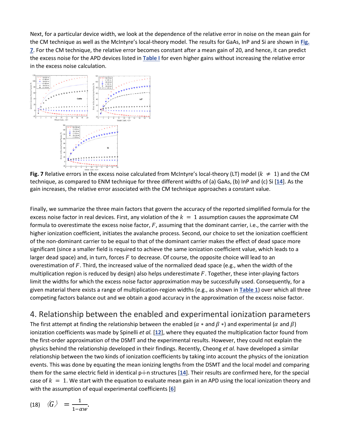Next, for a particular device width, we look at the dependence of the relative error in noise on the mean gain for the CM technique as well as the McIntyre's local-theory model. The results for GaAs, InP and Si are shown in **[Fig.](https://www.osapublishing.org/oe/fulltext.cfm?uri=oe-24-19-21597&id=349927#g007)  [7](https://www.osapublishing.org/oe/fulltext.cfm?uri=oe-24-19-21597&id=349927#g007)**. For the CM technique, the relative error becomes constant after a mean gain of 20, and hence, it can predict the excess noise for the APD devices listed in **[Table I](https://www.osapublishing.org/oe/fulltext.cfm?uri=oe-24-19-21597&id=349927#t001)** for even higher gains without increasing the relative error in the excess noise calculation.



**Fig. 7** Relative errors in the excess noise calculated from McIntyre's local-theory (LT) model  $(k \neq 1)$  and the CM technique, as compared to ENM technique for three different widths of (a) GaAs, (b) InP and (c) Si [**[14](https://www.osapublishing.org/oe/fulltext.cfm?uri=oe-24-19-21597&id=349927#ref14)**]. As the gain increases, the relative error associated with the CM technique approaches a constant value.

Finally, we summarize the three main factors that govern the accuracy of the reported simplified formula for the excess noise factor in real devices. First, any violation of the  $k = 1$  assumption causes the approximate CM formula to overestimate the excess noise factor,  $F$ , assuming that the dominant carrier, i.e., the carrier with the higher ionization coefficient, initiates the avalanche process. Second, our choice to set the ionization coefficient of the non-dominant carrier to be equal to that of the dominant carrier makes the effect of dead space more significant (since a smaller field is required to achieve the same ionization coefficient value, which leads to a larger dead space) and, in turn, forces  $F$  to decrease. Of course, the opposite choice will lead to an overestimation of  $F$ . Third, the increased value of the normalized dead space (e.g., when the width of the multiplication region is reduced by design) also helps underestimate  $F$ . Together, these inter-playing factors limit the widths for which the excess noise factor approximation may be successfully used. Consequently, for a given material there exists a range of multiplication-region widths (e.g., as shown in **[Table 1](https://www.osapublishing.org/oe/fulltext.cfm?uri=oe-24-19-21597&id=349927#t001)**) over which all three competing factors balance out and we obtain a good accuracy in the approximation of the excess noise factor.

### 4. Relationship between the enabled and experimental ionization parameters

The first attempt at finding the relationship between the enabled ( $\alpha$  \* and  $\beta$  \*) and experimental ( $\alpha$  and  $\beta$ ) ionization coefficients was made by Spinelli *et al.* [**[12](https://www.osapublishing.org/oe/fulltext.cfm?uri=oe-24-19-21597&id=349927#ref12)**], where they equated the multiplication factor found from the first-order approximation of the DSMT and the experimental results. However, they could not explain the physics behind the relationship developed in their findings. Recently, Cheong *et al.* have developed a similar relationship between the two kinds of ionization coefficients by taking into account the physics of the ionization events. This was done by equating the mean ionizing lengths from the DSMT and the local model and comparing them for the same electric field in identical p-i-n structures [**[14](https://www.osapublishing.org/oe/fulltext.cfm?uri=oe-24-19-21597&id=349927#ref14)**]. Their results are confirmed here, for the special case of  $k = 1$ . We start with the equation to evaluate mean gain in an APD using the local ionization theory and with the assumption of equal experimental coefficients [**[6](https://www.osapublishing.org/oe/fulltext.cfm?uri=oe-24-19-21597&id=349927#ref6)**]

$$
(18) \quad \langle G \rangle = \frac{1}{1-\alpha w}.
$$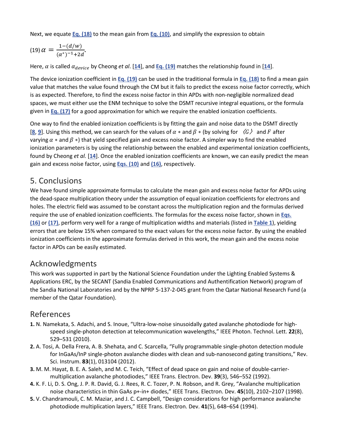Next, we equate **[Eq. \(18\)](https://www.osapublishing.org/oe/fulltext.cfm?uri=oe-24-19-21597&id=349927#e23)** to the mean gain from **[Eq. \(10\)](https://www.osapublishing.org/oe/fulltext.cfm?uri=oe-24-19-21597&id=349927#e12)**, and simplify the expression to obtain

$$
(19) \alpha = \frac{1 - (d/w)}{(\alpha^*)^{-1} + 2d}.
$$

Here,  $\alpha$  is called  $\alpha_{device}$  by Cheong *et al*. [[14](https://www.osapublishing.org/oe/fulltext.cfm?uri=oe-24-19-21597&id=349927#ref14)], and **[Eq. \(19\)](https://www.osapublishing.org/oe/fulltext.cfm?uri=oe-24-19-21597&id=349927#e24)** matches the relationship found in [14].

The device ionization coefficient in **[Eq. \(19\)](https://www.osapublishing.org/oe/fulltext.cfm?uri=oe-24-19-21597&id=349927#e24)** can be used in the traditional formula in **[Eq. \(18\)](https://www.osapublishing.org/oe/fulltext.cfm?uri=oe-24-19-21597&id=349927#e23)** to find a mean gain value that matches the value found through the CM but it fails to predict the excess noise factor correctly, which is as expected. Therefore, to find the excess noise factor in thin APDs with non-negligible normalized dead spaces, we must either use the ENM technique to solve the DSMT recursive integral equations, or the formula given in **[Eq. \(17\)](https://www.osapublishing.org/oe/fulltext.cfm?uri=oe-24-19-21597&id=349927#e21)** for a good approximation for which we require the enabled ionization coefficients.

One way to find the enabled ionization coefficients is by fitting the gain and noise data to the DSMT directly [[8](https://www.osapublishing.org/oe/fulltext.cfm?uri=oe-24-19-21597&id=349927#ref8), [9](https://www.osapublishing.org/oe/fulltext.cfm?uri=oe-24-19-21597&id=349927#ref9)]. Using this method, we can search for the values of  $\alpha *$  and  $\beta *$  (by solving for  $\langle G \rangle$  and F after varying  $\alpha *$  and  $\beta *$ ) that yield specified gain and excess noise factor. A simpler way to find the enabled ionization parameters is by using the relationship between the enabled and experimental ionization coefficients, found by Cheong *et al.* [**[14](https://www.osapublishing.org/oe/fulltext.cfm?uri=oe-24-19-21597&id=349927#ref14)**]. Once the enabled ionization coefficients are known, we can easily predict the mean gain and excess noise factor, using **[Eqs. \(10\)](https://www.osapublishing.org/oe/fulltext.cfm?uri=oe-24-19-21597&id=349927#e12)** and **[\(16\)](https://www.osapublishing.org/oe/fulltext.cfm?uri=oe-24-19-21597&id=349927#e20)**, respectively.

#### 5. Conclusions

We have found simple approximate formulas to calculate the mean gain and excess noise factor for APDs using the dead-space multiplication theory under the assumption of equal ionization coefficients for electrons and holes. The electric field was assumed to be constant across the multiplication region and the formulas derived require the use of enabled ionization coefficients. The formulas for the excess noise factor, shown in **[Eqs.](https://www.osapublishing.org/oe/fulltext.cfm?uri=oe-24-19-21597&id=349927#e20)  [\(16\)](https://www.osapublishing.org/oe/fulltext.cfm?uri=oe-24-19-21597&id=349927#e20)** or **[\(17\)](https://www.osapublishing.org/oe/fulltext.cfm?uri=oe-24-19-21597&id=349927#e21)**, perform very well for a range of multiplication widths and materials (listed in **[Table 1](https://www.osapublishing.org/oe/fulltext.cfm?uri=oe-24-19-21597&id=349927#t001)**), yielding errors that are below 15% when compared to the exact values for the excess noise factor. By using the enabled ionization coefficients in the approximate formulas derived in this work, the mean gain and the excess noise factor in APDs can be easily estimated.

#### Acknowledgments

This work was supported in part by the National Science Foundation under the Lighting Enabled Systems & Applications ERC, by the SECANT (Sandia Enabled Communications and Authentification Network) program of the Sandia National Laboratories and by the NPRP 5-137-2-045 grant from the Qatar National Research Fund (a member of the Qatar Foundation).

#### References

- **1.** N. Namekata, S. Adachi, and S. Inoue, "Ultra-low-noise sinusoidally gated avalanche photodiode for highspeed single-photon detection at telecommunication wavelengths," IEEE Photon. Technol. Lett. **22**(8), 529–531 (2010).
- **2.** A. Tosi, A. Della Frera, A. B. Shehata, and C. Scarcella, "Fully programmable single-photon detection module for InGaAs/InP single-photon avalanche diodes with clean and sub-nanosecond gating transitions," Rev. Sci. Instrum. **83**(1), 013104 (2012).
- **3.** M. M. Hayat, B. E. A. Saleh, and M. C. Teich, "Effect of dead space on gain and noise of double-carriermultiplication avalanche photodiodes," IEEE Trans. Electron. Dev. **39**(3), 546–552 (1992).
- **4.** K. F. Li, D. S. Ong, J. P. R. David, G. J. Rees, R. C. Tozer, P. N. Robson, and R. Grey, "Avalanche multiplication noise characteristics in thin GaAs p+-in+ diodes," IEEE Trans. Electron. Dev. **45**(10), 2102–2107 (1998).
- **5.** V. Chandramouli, C. M. Maziar, and J. C. Campbell, "Design considerations for high performance avalanche photodiode multiplication layers," IEEE Trans. Electron. Dev. **41**(5), 648–654 (1994).